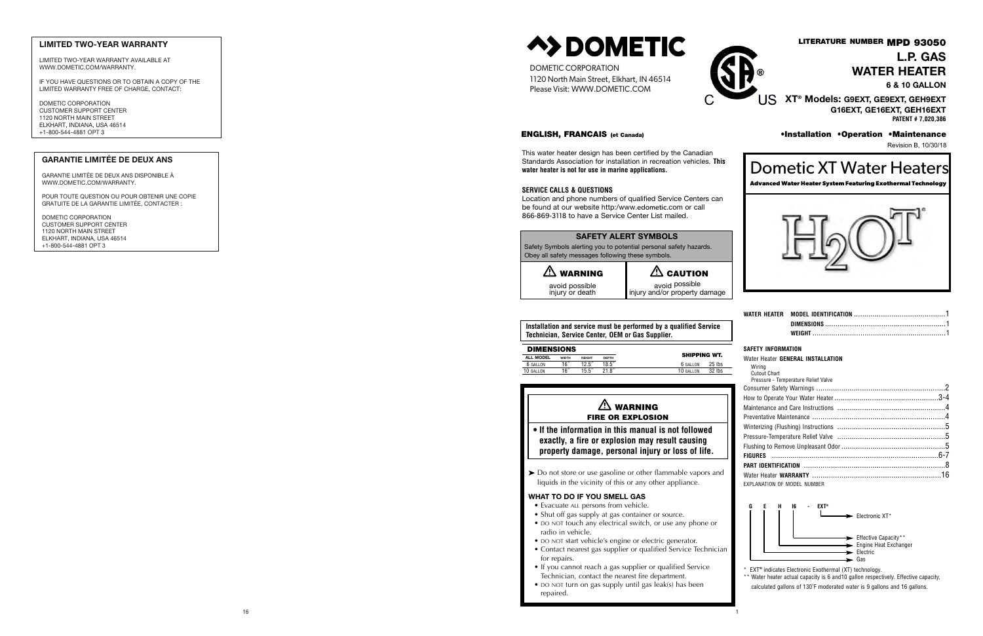#### **SAFETY ALERT SYMBOLS**

Safety Symbols alerting you to potential personal safety hazards. Obey all safety messages following these symbols.

| $\mathbb{A}$ WARNING              | $\triangle$ CAUTION                             |  |
|-----------------------------------|-------------------------------------------------|--|
| avoid possible<br>injury or death | avoid possible<br>injury and/or property damage |  |

**Installation and service must be performed by a qualified Service Technician, Service Center, OEM or Gas Supplier.**

| <b>DIMENSIONS</b> |              |               |              |              |        |
|-------------------|--------------|---------------|--------------|--------------|--------|
| ALL MODEL         | <b>WIDTH</b> | <b>HEIGHT</b> | <b>DEPTH</b> | SHIPPING WT. |        |
| 6 GALLON          | 16"          | $12.5^{''}$   | $18.5^{''}$  | 6 GALLON     | 25 lbs |
| 10 GALLON         | 16"          | $15.5^{''}$   | 21.8"        | 10 GALLON    | 32 lbs |

#### **SAFET Y INFORM ATIO N**

#### Water Heate r **GENERA L INS TALL ATIO N**

## $\mathbb{A}$  WARNING FIRE OR EXPLOSION

| Wirina                              |  |
|-------------------------------------|--|
| Cutout Chart                        |  |
| Pressure - Temperature Relief Valve |  |
|                                     |  |
|                                     |  |
|                                     |  |
|                                     |  |
|                                     |  |
|                                     |  |
|                                     |  |
|                                     |  |
|                                     |  |
|                                     |  |
| EXPLANATION OF MODEL NUMBER         |  |



- \* EX T **®** indicates Electronic Exothermal (XT) technology.
- \*\* Water heater actual capacity is 6 and 10 gallon respectively. Effective capacity, calculated gallons of 130˚F moderated water is 9 gallons and 16 gallons .

**• If the information in this manual is not followed exactly, a fire or explosion may result causing property damage, personal injury or loss of life.**

Do not store or use gasoline or other flammable vapors and liquids in the vicinity of this or any other appliance.

#### **WHAT TO DO IF YOU SMELL GAS**

- Evacuate ALL persons from vehicle.
- Shut off gas supply at gas container or source. • DO NOT touch any electrical switch, or use any phone or
- radio in vehicle.
- DO NOT start vehicle's engine or electric generator.
- Contact nearest gas supplier or qualified Service Technician for repairs.
- If you cannot reach a gas supplier or qualified Service Technician, contact the nearest fire department .
- DO NOT turn on gas supply until gas leak(s) has been repaired.

#### ENGLISH, FRANCAIS (et Canada)

This water heater design has been certified by the Canadia n Standards Association for installation in recreation vehicles. This **water heater is not for use in marine applications .**

#### **SERVICE CALLS & QUESTIONS**

Location and phone numbers of qualified Service Centers can be found at our website http:/www.edometic.com or call 866-869-3118 to have a Service Center List mailed.

## LITERATURE NUMBER MPD 93050 **L.P. GAS WATER HEATER**

**6 & 10 GALLON**

**XT ® Models: G9EXT, GE9EXT, GEH9EXT G16EXT, GE16EXT, GEH16EXT PATENT # 7,020,386**

•Installation •Operation •Maintenance Revision B, 10/30/18

Dometic XT Water Heaters

**Advanced Water Heater System Featuring Exothermal Technology**



DOMETIC CORPORATION 1120 North Main Street, Elkhart, IN 4651 4 Please Visit: WWW.DOMETIC.COM



#### LIMITED TWO-YEAR WARRANTY

LIMITED TWO-YEAR WARRANTY AVAILABLE AT WWW.DOMETIC.COM/WARRANTY.

IF YOU HAVE QUESTIONS OR TO OBTAIN A COPY OF THE LIMITED WARRANTY FREE OF CHARGE, CONTACT:

DOMETIC CORPORATION CUSTOMER SUPPORT CENTER 1120 NORTH MAIN STREET ELKHART, INDIANA, USA 46514 +1-800-544-4881 OPT 3

#### GARANTIE LIMITÉE DE DEUX AN S

GARANTIE LIMITÉE DE DEUX AN S DISPONIBLE À WWW.DOMETIC.COM/WARRANTY.

POUR TOUTE QUESTION OU POUR OBTENIR UNE COPIE GRATUITE DE LA GARANTIE LIMITÉE, CONTACTER :

DOMETIC CORPORATION CUSTOMER SUPPORT CENTER 1120 NORTH MAIN STREET ELKHART, INDIANA, USA 46514 +1-800-544-4881 OPT 3

# **A>DOMETIC**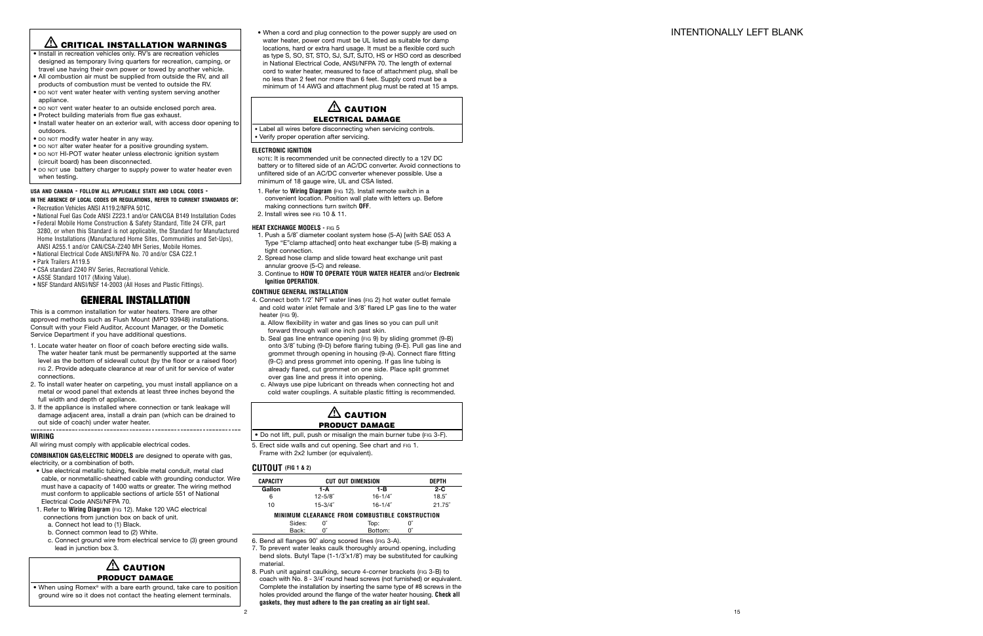## INTENTIONALLY LEFT BLANK

## - **CRITICAL INSTALLATION WARNINGS**

- Install in recreation vehicles only. RV's are recreation vehicles designed as temporary living quarters for recreation, camping, or travel use having their own power or towed by another vehicle.
- All combustion air must be supplied from outside the RV, and all products of combustion must be vented to outside the RV.
- DO NOT vent water heater with venting system serving another appliance.
- DO NOT vent water heater to an outside enclosed porch area.
- Protect building materials from flue gas exhaust.
- Install water heater on an exterior wall, with access door opening to outdoors.
- DO NOT modify water heater in any way.
- DO NOT alter water heater for a positive grounding system.
- DO NOT HI-POT water heater unless electronic ignition system (circuit board) has been disconnected.
- DO NOT use battery charger to supply power to water heater even when testing.

- **IN THE ABSENCE OF LOCAL CODES OR REGULATIONS, REFER TO CURRENT STANDARDS OF :** • Recreation Vehicles ANSI A119.2/NFPA 501C.
- National Fuel Gas Code ANSI Z223.1 and/or CAN/CGA B149 Installation Codes
- Federal Mobile Home Construction & Safety Standard, Title 24 CFR, part 3280, or when this Standard is not applicable, the Standard for Manufactured Home Installations (Manufactured Home Sites, Communities and Set-Ups), ANSI A255.1 and/or CAN/CSA-Z240 MH Series, Mobile Homes.
- National Electrical Code ANSI/NFPA No. 70 and/or CSA C22.1
- Park Trailers A119.5
- CSA standard Z240 RV Series, Recreational Vehicle.
- ASSE Standard 1017 (Mixing Value).
- NSF Standard ANSI/NSF 14-2003 (All Hoses and Plastic Fittings).

#### **USA AND CANADA - FOLLOW ALL APPLICABLE STATE AND LOCAL CODES -**

## $\triangle$  caution **PRODUCT DAMAGE**

## **GENERAL INSTALLATION**

This is a common installation for water heaters. There are other approved methods such as Flush Mount (MPD 93948) installations. Consult with your Field Auditor, Account Manager, or the Dometic Service Department if you have additional questions.

#### $\triangle$  caution **ELECTRICAL DAMAGE**

- 1. Locate water heater on floor of coach before erecting side walls. The water heater tank must be permanently supported at the same level as the bottom of sidewall cutout (by the floor or a raised floor) FIG 2. Provide adequate clearance at rear of unit for service of water connections.
- 2. To install water heater on carpeting, you must install appliance on a metal or wood panel that extends at least three inches beyond the full width and depth of appliance.
- 3. If the appliance is installed where connection or tank leakage will damage adjacent area, install a drain pan (which can be drained to out side of coach) under water heater.

#### **WIRING**

All wiring must comply with applicable electrical codes.

**COMBINATION GAS/ELECTRIC MODELS** are designed to operate with gas, electricity, or a combination of both.

## $\triangle$  caution **PRODUCT DAMAGE**

- Use electrical metallic tubing, flexible metal conduit, metal clad cable, or nonmetallic-sheathed cable with grounding conductor. Wire must have a capacity of 1400 watts or greater. The wiring method must conform to applicable sections of article 551 of National Electrical Code ANSI/NFPA 70.
- 1. Refer to **Wiring Diagram** (FIG 12). Make 120 VAC electrical connections from junction box on back of unit. a. Connect hot lead to (1) Black.
	- b. Connect common lead to (2) White.
	- c. Connect ground wire from electrical service to (3) green ground lead in junction box 3.

• When using Romex ® with a bare earth ground, take care to position ground wire so it does not contact the heating element terminals.

• When a cord and plug connection to the power supply are used on water heater, power cord must be UL listed as suitable for damp locations, hard or extra hard usage. It must be a flexible cord such as type S, SO, ST, STO, SJ, SJT, SJTO, HS or HSO cord as described in National Electrical Code, ANSI/NFPA 70. The length of external cord to water heater, measured to face of attachment plug, shall be no less than 2 feet nor more than 6 feet. Supply cord must be a minimum of 14 AWG and attachment plug must be rated at 15 amps.

• Label all wires before disconnecting when servicing controls. • Verify proper operation after servicing.

#### **ELECTRONIC IGNITION**

NOTE: It is recommended unit be connected directly to a 12V DC battery or to filtered side of an AC/DC converter. Avoid connections to unfiltered side of an AC/DC converter whenever possible. Use a minimum of 18 gauge wire, UL and CSA listed.

- 1. Refer to **Wiring Diagram** (FIG 12). Install remote switch in a convenient location. Position wall plate with letters up. Before making connections turn switch **OFF** .
- 2. Install wires see FIG 10 & 11.

#### **HEAT EXCHANGE MODELS -** FIG 5

- 1. Push a 5/8˝ diameter coolant system hose (5-A) [with SAE 053 A Type "E"clamp attached] onto heat exchanger tube (5-B) making a tight connection.
- 2. Spread hose clamp and slide toward heat exchange unit past annular groove (5-C) and release.
- 3. Continue to **HOW TO OPERATE YOUR WATER HEATER** and/or **Electronic Ignition OPERATION** .

#### **CONTINUE GENERAL INSTALLATION**

4. Connect both 1/2˝ NPT water lines (FIG 2) hot water outlet female and cold water inlet female and 3/8˝ flared LP gas line to the water heater (FIG 9).

- a. Allow flexibility in water and gas lines so you can pull unit forward through wall one inch past skin.
- b. Seal gas line entrance opening (FIG 9) by sliding grommet (9-B) onto 3/8˝ tubing (9-D) before flaring tubing (9-E). Pull gas line and grommet through opening in housing (9-A). Connect flare fitting (9-C) and press grommet into opening. If gas line tubing is already flared, cut grommet on one side. Place split grommet over gas line and press it into opening.
- c. Always use pipe lubricant on threads when connecting hot and cold water couplings. A suitable plastic fitting is recommended.

• Do not lift, pull, push or misalign the main burner tube (FIG 3-F).

5. Erect side walls and cut opening. See chart and FIG 1. Frame with 2x2 lumber (or equivalent).

#### **CUTOUT (FIG 1 & 2)**

| <b>CAPACITY</b> |        | <b>CUT OUT DIMENSION</b> | <b>DEPTH</b>                                    |             |
|-----------------|--------|--------------------------|-------------------------------------------------|-------------|
| Gallon          |        | 1-A                      | $2-C$                                           |             |
| 6               |        | $12 - 5/8$               | $16 - 1/4$                                      | $18.5^{''}$ |
| 10              |        | $15 - 3/4$ "             | $16 - 1/4$                                      | 21.75"      |
|                 |        |                          | MINIMUM CLEARANCE FROM COMBUSTIBLE CONSTRUCTION |             |
|                 | Sides: | U                        | Top:                                            | O           |
|                 | Back:  | n                        | Bottom:                                         | n"          |

6. Bend all flanges 90˚ along scored lines (FIG 3-A).

- 7. To prevent water leaks caulk thoroughly around opening, including bend slots. Butyl Tape (1-1/3˝x1/8˝) may be substituted for caulking material.
- 8. Push unit against caulking, secure 4-corner brackets (FIG 3-B) to coach with No. 8 - 3/4˝ round head screws (not furnished) or equivalent. Complete the installation by inserting the same type of #8 screws in the holes provided around the flange of the water heater housing. **Check all gaskets, they must adhere to the pan creating an air tight seal.**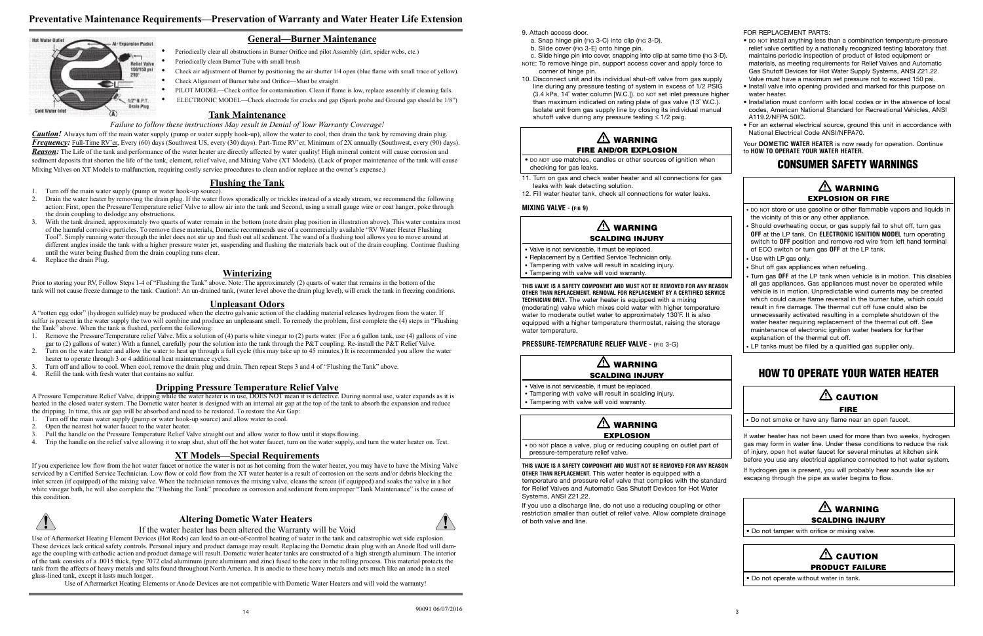#### **Tank Maintenance**

#### *Failure to follow these instructions May result in Denial of Your Warranty Coverage!*

*Caution!* Always turn off the main water supply (pump or water supply hook-up), allow the water to cool, then drain the tank by removing drain plug. *Frequency:* Full-Time RV'er, Every (60) days (Southwest US, every (30) days). Part-Time RV'er, Minimum of 2X annually (Southwest, every (90) days). *Reason:* The Life of the tank and performance of the water heater are directly affected by water quality! High mineral content will cause corrosion and sediment deposits that shorten the life of the tank, element, relief valve, and Mixing Valve (XT Models). (Lack of proper maintenance of the tank will cause Mixing Valves on XT Models to malfunction, requiring costly service procedures to clean and/or replace at the owner's expense.)

#### **Flushing the Tank**

Prior to storing your RV, Follow Steps 1-4 of "Flushing the Tank" above. Note: The approximately (2) quarts of water that remains in the bottom of the tank will not cause freeze damage to the tank. Caution!: An un-drained tank, (water level above the drain plug level), will crack the tank in freezing conditions.

- 1. Turn off the main water supply (pump or water hook-up source).
- 2. Drain the water heater by removing the drain plug. If the water flows sporadically or trickles instead of a steady stream, we recommend the following action: First, open the Pressure/Temperature relief Valve to allow air into the tank and Second, using a small gauge wire or coat hanger, poke through the drain coupling to dislodge any obstructions.
- 3. With the tank drained, approximately two quarts of water remain in the bottom (note drain plug position in illustration above). This water contains most of the harmful corrosive particles. To remove these materials, Dometic recommends use of a commercially available "RV Water Heater Flushing Tool". Simply running water through the inlet does not stir up and flush out all sediment. The wand of a flushing tool allows you to move around at different angles inside the tank with a higher pressure water jet, suspending and flushing the materials back out of the drain coupling. Continue flushing until the water being flushed from the drain coupling runs clear.
- 4. Replace the drain Plug.

#### **Winterizing**

#### **Unpleasant Odors**

A "rotten egg odor" (hydrogen sulfide) may be produced when the electro galvanic action of the cladding material releases hydrogen from the water. If sulfur is present in the water supply the two will combine and produce an unpleasant smell. To remedy the problem, first complete the (4) steps in "Flushing the Tank" above. When the tank is flushed, perform the following:

- 1. Remove the Pressure/Temperature relief Valve. Mix a solution of (4) parts white vinegar to (2) parts water. (For a 6 gallon tank, use (4) gallons of vine gar to (2) gallons of water.) With a funnel, carefully pour the solution into the tank through the P&T coupling. Re-install the P&T Relief Valve.
- 2. Turn on the water heater and allow the water to heat up through a full cycle (this may take up to 45 minutes.) It is recommended you allow the water heater to operate through 3 or 4 additional heat maintenance cycles.
- Turn off and allow to cool. When cool, remove the drain plug and drain. Then repeat Steps 3 and 4 of "Flushing the Tank" above.
- 4. Refill the tank with fresh water that contains no sulfur.
- 9. Attach access door.
- a. Snap hinge pin (FIG 3-C) into clip (FIG 3-D).
- b. Slide cover (FIG 3-E) onto hinge pin.
- c. Slide hinge pin into cover, snapping into clip at same time (FIG 3-D).
- NOTE: To remove hinge pin, support access cover and apply force to corner of hinge pin.
- 10. Disconnect unit and its individual shut-off valve from gas supply line during any pressure testing of system in excess of 1/2 PSIG (3.4 kPa, 14˝ water column [W.C.]). DO NOT set inlet pressure higher than maximum indicated on rating plate of gas valve (13˝ W.C.). Isolate unit from gas supply line by closing its individual manual shutoff valve during any pressure testing  $\leq 1/2$  psig.

#### **Dripping Pressure Temperature Relief Valve**

A Pressure Temperature Relief Valve, dripping while the water heater is in use, DOES NOT mean it is defective. During normal use, water expands as it is heated in the closed water system. The Dometic water heater is designed with an internal air gap at the top of the tank to absorb the expansion and reduce the dripping. In time, this air gap will be absorbed and need to be restored. To restore the Air Gap:

## $\triangle$  WARNING FIRE AND/OR EXPLOSION

## $\triangle$  WARNING SCALDING INJURY

- 1. Turn off the main water supply (pump or water hook-up source) and allow water to cool.
- 2. Open the nearest hot water faucet to the water heater.
- 3. Pull the handle on the Pressure Temperature Relief Valve straight out and allow water to flow until it stops flowing.
- 4. Trip the handle on the relief valve allowing it to snap shut, shut off the hot water faucet, turn on the water supply, and turn the water heater on. Test.

## $\overline{\mathbb{A}}$  WARNING EXPLOSION

#### **XT Models—Special Requirements**

If you experience low flow from the hot water faucet or notice the water is not as hot coming from the water heater, you may have to have the Mixing Valve serviced by a Certified Service Technician. Low flow or cold flow from the XT water heater is a result of corrosion on the seats and/or debris blocking the inlet screen (if equipped) of the mixing valve. When the technician removes the mixing valve, cleans the screen (if equipped) and soaks the valve in a hot white vinegar bath, he will also complete the "Flushing the Tank" procedure as corrosion and sediment from improper "Tank Maintenance" is the cause of this condition.



#### **Altering Dometic Water Heaters**



If the water heater has been altered the Warranty will be Void

Use of Aftermarket Heating Element Devices (Hot Rods) can lead to an out-of-control heating of water in the tank and catastrophic wet side explosion. These devices lack critical safety controls. Personal injury and product damage may result. Replacing the Dometic drain plug with an Anode Rod will damage the coupling with cathodic action and product damage will result. Dometic water heater tanks are constructed of a high strength aluminum. The interior of the tank consists of a .0015 thick, type 7072 clad aluminum (pure aluminum and zinc) fused to the core in the rolling process. This material protects the tank from the affects of heavy metals and salts found throughout North America. It is anodic to these heavy metals and acts much like an anode in a steel glass-lined tank, except it lasts much longer.

- Shut off gas appliances when refueling.
- Turn gas **OFF** at the LP tank when vehicle is in motion. This disables all gas appliances. Gas appliances must never be operated while vehicle is in motion. Unpredictable wind currents may be created which could cause flame reversal in the burner tube, which could result in fire damage. The thermal cut off fuse could also be unnecessarily activated resulting in a complete shutdown of the water heater requiring replacement of the thermal cut off. See maintenance of electronic ignition water heaters for further explanation of the thermal cut off.
- LP tanks must be filled by a qualified gas supplier only.

## $\triangle$  caution FIRE

## $\triangle$  CAUTION PRODUCT FAILURE

Use of Aftermarket Heating Elements or Anode Devices are not compatible with Dometic Water Heaters and will void the warranty!

## **Preventative Maintenance Requirements—Preservation of Warranty and Water Heater Life Extension**



## **General—Burner Maintenance**

- Periodically clear all obstructions in Burner Orifice and pilot Assembly (dirt, spider webs, etc.)
- Periodically clean Burner Tube with small brush
- Check air adjustment of Burner by positioning the air shutter 1/4 open (blue flame with small trace of yellow).
- Check Alignment of Burner tube and Orifice—Must be straight
- PILOT MODEL—Check orifice for contamination. Clean if flame is low, replace assembly if cleaning fails.
- ELECTRONIC MODEL—Check electrode for cracks and gap (Spark probe and Ground gap should be 1/8")

• DO NOT use matches, candles or other sources of ignition when checking for gas leaks.

- 11. Turn on gas and check water heater and all connections for gas leaks with leak detecting solution.
- 12. Fill water heater tank, check all connections for water leaks.

#### **MIXING VALVE - (FIG 9)**

• Valve is not serviceable, it must be replaced.

- Replacement by a Certified Service Technician only.
- Tampering with valve will result in scalding injury.
- Tampering with valve will void warranty.

#### **THIS VALVE IS A SAFETY COMPONENT AND MUST NOT BE REMOVED FOR ANY REASON OTHER THAN REPLACEMENT. REMOVAL FOR REPLACEMENT BY A CERTIFIED SERVICE TECHNICIAN ONLY.** The water heater is equipped with a mixing (moderating) valve which mixes cold water with higher temperature water to moderate outlet water to approximately 130˚F. It is also equipped with a higher temperature thermostat, raising the storage water temperature.

**PRESSURE-TEMPERATURE RELIEF VALVE -** (FIG 3-G)



• Valve is not serviceable, it must be replaced.

- Tampering with valve will result in scalding injury.
- Tampering with valve will void warranty.

• DO NOT place a valve, plug or reducing coupling on outlet part of pressure-temperature relief valve.

## **THIS VALVE IS A SAFETY COMPONENT AND MUST NOT BE REMOVED FOR ANY REASON**

**OTHER THAN REPLACEMENT.** This water heater is equipped with a temperature and pressure relief valve that complies with the standard for Relief Valves and Automatic Gas Shutoff Devices for Hot Water Systems, ANSI Z21.22.

If you use a discharge line, do not use a reducing coupling or other restriction smaller than outlet of relief valve. Allow complete drainage of both valve and line.

FOR REPLACEMENT PARTS:

- DO NOT install anything less than a combination temperature-pressure relief valve certified by a nationally recognized testing laboratory that
- maintains periodic inspection of product of listed equipment or materials, as meeting requirements for Relief Valves and Automatic Gas Shutoff Devices for Hot Water Supply Systems, ANSI Z21.22. Valve must have a maximum set pressure not to exceed 150 psi.
- Install valve into opening provided and marked for this purpose on water heater.
- Installation must conform with local codes or in the absence of local codes, American National Standard for Recreational Vehicles, ANSI A119.2/NFPA 50IC.
- For an external electrical source, ground this unit in accordance with National Electrical Code ANSI/NFPA70.

Your **DOMETIC WATER HEATER** is now ready for operation. Continue to **HOW TO OPERATE YOUR WATER HEATER.**

## CONSUMER SAFETY WARNINGS



## HOW TO OPERATE YOUR WATER HEATER

• Do not smoke or have any flame near an open faucet.

If water heater has not been used for more than two weeks, hydrogen gas may form in water line. Under these conditions to reduce the risk of injury, open hot water faucet for several minutes at kitchen sink before you use any electrical appliance connected to hot water system.

If hydrogen gas is present, you will probably hear sounds like air escaping through the pipe as water begins to flow.



• Do not tamper with orifice or mixing valve.

• Do not operate without water in tank.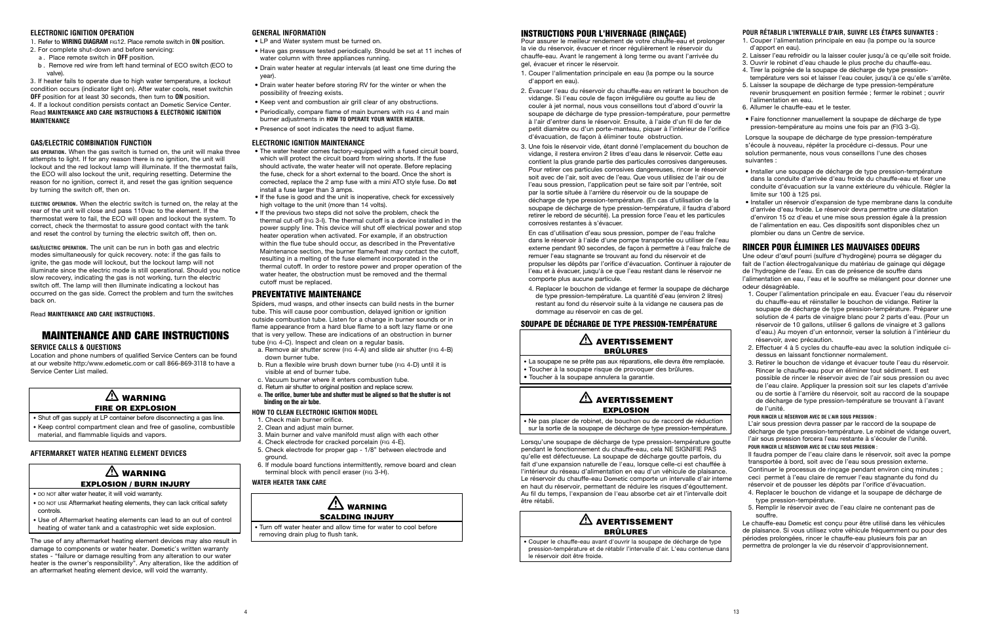#### INSTRUCTIONS POUR L'HIVERNAGE (RINÇAGE)

Pour assurer le meilleur rendement de votre chauffe-eau et prolonger la vie du réservoir, évacuer et rincer régulièrement le réservoir du chauffe-eau. Avant le rangement à long terme ou avant l'arrivée du gel, évacuer et rincer le réservoir.

- 1. Couper l'alimentation principale en eau (la pompe ou la source d'apport en eau).
- 2. Évacuer l'eau du réservoir du chauffe-eau en retirant le bouchon de vidange. Si l'eau coule de façon irrégulière ou goutte au lieu de couler à jet normal, nous vous conseillons tout d'abord d'ouvrir la soupape de décharge de type pression-température, pour permettre à l'air d'entrer dans le réservoir. Ensuite, à l'aide d'un fil de fer de petit diamètre ou d'un porte-manteau, piquer à l'intérieur de l'orifice d'évacuation, de façon à éliminer toute obstruction.
- 3. Une fois le réservoir vide, étant donné l'emplacement du bouchon de vidange, il restera environ 2 litres d'eau dans le réservoir. Cette eau contient la plus grande partie des particules corrosives dangereuses. Pour retirer ces particules corrosives dangereuses, rincer le réservoir soit avec de l'air, soit avec de l'eau. Que vous utilisiez de l'air ou de l'eau sous pression, l'application peut se faire soit par l'entrée, soit par la sortie située à l'arrière du réservoir ou de la soupape de décharge de type pression-température. (En cas d'utilisation de la soupape de décharge de type pression-température, il faudra d'abord retirer le rebord de sécurité). La pression force l'eau et les particules corrosives restantes à s'évacuer.

 $\bigwedge$  avertissement • La soupape ne se prête pas aux réparations, elle devra être remplacée. • Toucher à la soupape risque de provoquer des brûlures. • Toucher à la soupape annulera la garantie.  $\bigwedge$  avertissement EXPLOSION

## $\bigwedge$  avertissement BRÛLURES

En cas d'utilisation d'eau sous pression, pomper de l'eau fraîche dans le réservoir à l'aide d'une pompe transportée ou utiliser de l'eau externe pendant 90 secondes, de façon à permettre à l'eau fraîche de remuer l'eau stagnante se trouvant au fond du réservoir et de propulser les dépôts par l'orifice d'évacuation. Continuer à rajouter de l'eau et à évacuer, jusqu'à ce que l'eau restant dans le réservoir ne comporte plus aucune particule.

4. Replacer le bouchon de vidange et fermer la soupape de décharge de type pression-température. La quantité d'eau (environ 2 litres) restant au fond du réservoir suite à la vidange ne causera pas de dommage au réservoir en cas de gel.

#### SOUPAPE DE DÉCHARGE DE TYPE PRESSION-TEMPÉRATURE

# BRÛLURES

• Ne pas placer de robinet, de bouchon ou de raccord de réduction sur la sortie de la soupape de décharge de type pression-température.

Lorsqu'une soupape de décharge de type pression-température goutte pendant le fonctionnement du chauffe-eau, cela NE SIGNIFIE PAS qu'elle est défectueuse. La soupape de décharge goutte parfois, du fait d'une expansion naturelle de l'eau, lorsque celle-ci est chauffée à l'intérieur du réseau d'alimentation en eau d'un véhicule de plaisance. Le réservoir du chauffe-eau Dometic comporte un intervalle d'air interne en haut du réservoir, permettant de réduire les risques d'égouttement. Au fil du temps, l'expansion de l'eau absorbe cet air et l'intervalle doit être rétabli.

• Couper le chauffe-eau avant d'ouvrir la soupape de décharge de type pression-température et de rétablir l'intervalle d'air. L'eau contenue dans le réservoir doit être froide.

**POUR RÉTABLIR L'INTERVALLE D'AIR, SUIVRE LES ÉTAPES SUIVANTES :**

- 1. Couper l'alimentation principale en eau (la pompe ou la source d'apport en eau).
- 2. Laisser l'eau refroidir ou la laisser couler jusqu'à ce qu'elle soit froide.
- 3. Ouvrir le robinet d'eau chaude le plus proche du chauffe-eau. 4. Tirer la poignée de la soupape de décharge de type pression-
- température vers soi et laisser l'eau couler, jusqu'à ce qu'elle s'arrête. 5. Laisser la soupape de décharge de type pression-température
- revenir brusquement en position fermée ; fermer le robinet ; ouvrir l'alimentation en eau.
- 6. Allumer le chauffe-eau et le tester.
- Faire fonctionner manuellement la soupape de décharge de type pression-température au moins une fois par an (FIG 3-G).

Lorsque la soupape de décharge de type pression-température s'écoule à nouveau, répéter la procédure ci-dessus. Pour une solution permanente, nous vous conseillons l'une des choses suivantes :

## $\mathbb{A}$  WARNING FIRE OR EXPLOSION

- Shut off gas supply at LP container before disconnecting a gas line.
- Keep control compartment clean and free of gasoline, combustible material, and flammable liquids and vapors.
- Installer une soupape de décharge de type pression-température dans la conduite d'arrivée d'eau froide du chauffe-eau et fixer une conduite d'évacuation sur la vanne extérieure du véhicule. Régler la limite sur 100 à 125 psi.
- Installer un réservoir d'expansion de type membrane dans la conduite d'arrivée d'eau froide. Le réservoir devra permettre une dilatation d'environ 15 oz d'eau et une mise sous pression égale à la pression de l'alimentation en eau. Ces dispositifs sont disponibles chez un plombier ou dans un Centre de service.

## RINCER POUR ÉLIMINER LES MAUVAISES ODEURS

Une odeur d'œuf pourri (sulfure d'hydrogène) pourra se dégager du fait de l'action électrogalvanique du matériau de gainage qui dégage de l'hydrogène de l'eau. En cas de présence de souffre dans l'alimentation en eau, l'eau et le souffre se mélangent pour donner une odeur désagréable.

- - 1. Couper l'alimentation principale en eau. Évacuer l'eau du réservoir du chauffe-eau et réinstaller le bouchon de vidange. Retirer la soupape de décharge de type pression-température. Préparer une solution de 4 parts de vinaigre blanc pour 2 parts d'eau. (Pour un réservoir de 10 gallons, utiliser 6 gallons de vinaigre et 3 gallons d'eau.) Au moyen d'un entonnoir, verser la solution à l'intérieur du réservoir, avec précaution.
	- 2. Effectuer 4 à 5 cycles du chauffe-eau avec la solution indiquée cidessus en laissant fonctionner normalement.
	- 3. Retirer le bouchon de vidange et évacuer toute l'eau du réservoir. Rincer le chauffe-eau pour en éliminer tout sédiment. Il est possible de rincer le réservoir avec de l'air sous pression ou avec de l'eau claire. Appliquer la pression soit sur les clapets d'arrivée ou de sortie à l'arrière du réservoir, soit au raccord de la soupape de décharge de type pression-température se trouvant à l'avant de l'unité.

#### **POUR RINCER LE RÉSERVOIR AVEC DE L'AIR SOUS PRESSION :**

L'air sous pression devra passer par le raccord de la soupape de décharge de type pression-température. Le robinet de vidange ouvert, l'air sous pression forcera l'eau restante à s'écouler de l'unité.

#### **POUR RINCER LE RÉSERVOIR AVEC DE L'EAU SOUS PRESSION :**

Il faudra pomper de l'eau claire dans le réservoir, soit avec la pompe transportée à bord, soit avec de l'eau sous pression externe. Continuer le processus de rinçage pendant environ cinq minutes ; ceci permet à l'eau claire de remuer l'eau stagnante du fond du réservoir et de pousser les dépôts par l'orifice d'évacuation.

- 4. Replacer le bouchon de vidange et la soupape de décharge de type pression-température.
- 5. Remplir le réservoir avec de l'eau claire ne contenant pas de souffre.

Le chauffe-eau Dometic est conçu pour être utilisé dans les véhicules de plaisance. Si vous utilisez votre véhicule fréquemment ou pour des périodes prolongées, rincer le chauffe-eau plusieurs fois par an permettra de prolonger la vie du réservoir d'approvisionnement.



#### **ELECTRONIC IGNITION OPERATION**

#### **GAS/ELECTRIC COMBINATION FUNCTION**

**GAS OPERATION.** When the gas switch is turned on, the unit will make three attempts to light. If for any reason there is no ignition, the unit will lockout and the red lockout lamp will illuminate. If the thermostat fails, the ECO will also lockout the unit, requiring resetting. Determine the reason for no ignition, correct it, and reset the gas ignition sequence by turning the switch off, then on.

**ELECTRIC OPERATION.** When the electric switch is turned on, the relay at the rear of the unit will close and pass 110vac to the element. If the thermostat were to fail, the ECO will open and lockout the system. To correct, check the thermostat to assure good contact with the tank and reset the control by turning the electric switch off, then on.

**GAS/ELECTRIC OPERATION.** The unit can be run in both gas and electric modes simultaneously for quick recovery. note: if the gas fails to ignite, the gas mode will lockout, but the lockout lamp will not illuminate since the electric mode is still operational. Should you notice slow recovery, indicating the gas is not working, turn the electric switch off. The lamp will then illuminate indicating a lockout has occurred on the gas side. Correct the problem and turn the switches back on.

Read **MAINTENANCE AND CARE INSTRUCTIONS.**

## **MAINTENANCE AND CARE INSTRUCTIONS**

#### **SERVICE CALLS & QUESTIONS**

Location and phone numbers of qualified Service Centers can be found at our website http:/www.edometic.com or call 866-869-3118 to have a Service Center List mailed.

#### **AFTERMARKET WATER HEATING ELEMENT DEVICES**

## $\mathbb{A}$  warning

## EXPLOSION / BURN INJURY

- DO NOT alter water heater, it will void warranty.
- DO NOT USE Aftermarket heating elements, they can lack critical safety controls.
- Use of Aftermarket heating elements can lead to an out of control heating of water tank and a catastrophic wet side explosion.

The use of any aftermarket heating element devices may also result in damage to components or water heater. Dometic's written warranty states - "failure or damage resulting from any alteration to our water heater is the owner's responsibility". Any alteration, like the addition of an aftermarket heating element device, will void the warranty.

#### **GENERAL INFORMATION**

- LP and Water system must be turned on.
- Have gas pressure tested periodically. Should be set at 11 inches of water column with three appliances running.
- Drain water heater at regular intervals (at least one time during the year)
- Drain water heater before storing RV for the winter or when the possibility of freezing exists.
- Keep vent and combustion air grill clear of any obstructions.
- Periodically, compare flame of main burners with FIG 4 and main burner adjustments in **HOW TO OPERATE YOUR WATER HEATER**.
- Presence of soot indicates the need to adjust flame.

#### **ELECTRONIC IGNITION MAINTENANCE**

- The water heater comes factory-equipped with a fused circuit board, which will protect the circuit board from wiring shorts. If the fuse should activate, the water heater will not operate. Before replacing the fuse, check for a short external to the board. Once the short is corrected, replace the 2 amp fuse with a mini ATO style fuse. Do **not** install a fuse larger than 3 amps.
- If the fuse is good and the unit is inoperative, check for excessively high voltage to the unit (more than 14 volts).
- If the previous two steps did not solve the problem, check the thermal cut-off (FIG 3-I). The thermal cutoff is a device installed in the power supply line. This device will shut off electrical power and stop heater operation when activated. For example, if an obstruction within the flue tube should occur, as described in the Preventative Maintenance section, the burner flame/heat may contact the cutoff, resulting in a melting of the fuse element incorporated in the thermal cutoff. In order to restore power and proper operation of the water heater, the obstruction must be removed and the thermal cutoff must be replaced.

#### PREVENTATIVE MAINTENANCE

Spiders, mud wasps, and other insects can build nests in the burner tube. This will cause poor combustion, delayed ignition or ignition outside combustion tube. Listen for a change in burner sounds or in flame appearance from a hard blue flame to a soft lazy flame or one that is very yellow. These are indications of an obstruction in burner tube (FIG 4-C). Inspect and clean on a regular basis.

- a. Remove air shutter screw (FIG 4-A) and slide air shutter (FIG 4-B) down burner tube.
- b. Run a flexible wire brush down burner tube (FIG 4-D) until it is visible at end of burner tube.
- c. Vacuum burner where it enters combustion tube.
- d. Return air shutter to original position and replace screw.
- e. **The orifice, burner tube and shutter must be aligned so that the shutter is not binding on the air tube.**

#### **HOW TO CLEAN ELECTRONIC IGNITION MODEL**

- 1. Check main burner orifice.
- 2. Clean and adjust main burner.
- 3. Main burner and valve manifold must align with each other
- 4. Check electrode for cracked porcelain (FIG 4-E).
- 5. Check electrode for proper gap 1/8" between electrode and ground.
- 6. If module board functions intermittently, remove board and clean terminal block with pencil eraser (FIG 3-H).

#### **WATER HEATER TANK CARE**



• Turn off water heater and allow time for water to cool before removing drain plug to flush tank.

1. Refer to **WIRING DIAGRAM** FIG12. Place remote switch in **ON** position.

- 2. For complete shut-down and before servicing:
- a . Place remote switch in **OFF** position.
- b . Remove red wire from left hand terminal of ECO switch (ECO to valve).

3. If heater fails to operate due to high water temperature, a lockout condition occurs (indicator light on). After water cools, reset switchin **OFF** position for at least 30 seconds, then turn to **ON** position.

4. If a lockout condition persists contact an Dometic Service Center. Read **MAINTENANCE AND CARE INSTRUCTIONS & ELECTRONIC IGNITION MAINTENANCE**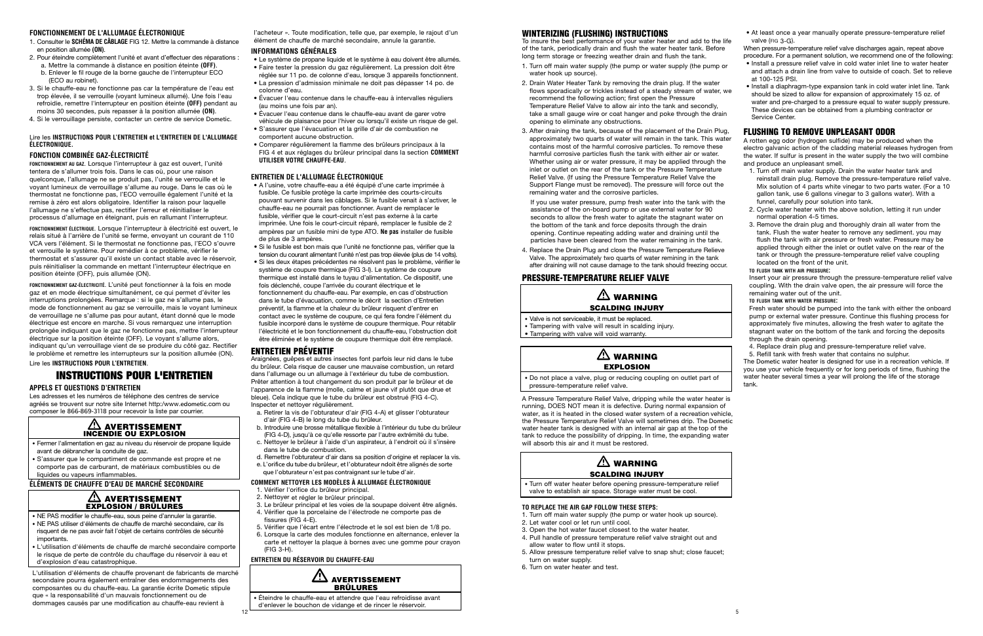12

#### **FONCTIONNEMENT DE L'ALLUMAGE ÉLECTRONIQUE**

- 1. Consulter le **SCHÉMA DE CÂBLAGE** FIG 12. Mettre la commande à distance en position allumée **(ON)**.
- 2. Pour éteindre complètement l'unité et avant d'effectuer des réparations :
- a. Mettre la commande à distance en position éteinte **(OFF)**.
- b. Enlever le fil rouge de la borne gauche de l'interrupteur ECO (ECO au robinet).
- 3. Si le chauffe-eau ne fonctionne pas car la température de l'eau est trop élevée, il se verrouille (voyant lumineux allumé). Une fois l'eau refroidie, remettre l'interrupteur en position éteinte **(OFF)** pendant au moins 30 secondes, puis repasser à la position allumée **(ON)**.
- 4. Si le verrouillage persiste, contacter un centre de service Dometic.

#### Lire les **INSTRUCTIONS POUR L'ENTRETIEN et L'ENTRETIEN DE L'ALLUMAGE ÉLECTRONIQUE.**

#### **FONCTION COMBINÉE GAZ-ÉLECTRICITÉ**

**FONCTIONNEMENT AU GAZ.** Lorsque l'interrupteur à gaz est ouvert, l'unité tentera de s'allumer trois fois. Dans le cas où, pour une raison quelconque, l'allumage ne se produit pas, l'unité se verrouille et le voyant lumineux de verrouillage s'allume au rouge. Dans le cas où le thermostat ne fonctionne pas, l'ECO verrouille également l'unité et la remise à zéro est alors obligatoire. Identifier la raison pour laquelle l'allumage ne s'effectue pas, rectifier l'erreur et réinitialiser le processus d'allumage en éteignant, puis en rallumant l'interrupteur.

**FONCTIONNEMENT ÉLECTRIQUE.** Lorsque l'interrupteur à électricité est ouvert, le relais situé à l'arrière de l'unité se ferme, envoyant un courant de 110 VCA vers l'élément. Si le thermostat ne fonctionne pas, l'ECO s'ouvre et verrouille le système. Pour remédier à ce problème, vérifier le thermostat et s'assurer qu'il existe un contact stable avec le réservoir, puis réinitialiser la commande en mettant l'interrupteur électrique en position éteinte (OFF), puis allumée (ON).

#### $\Delta$  avertissement EXPLOSION / BRÛLURES

**FONCTIONNEMENT GAZ-ÉLECTRICITÉ.** L'unité peut fonctionner à la fois en mode gaz et en mode électrique simultanément, ce qui permet d'éviter les interruptions prolongées. Remarque : si le gaz ne s'allume pas, le mode de fonctionnement au gaz se verrouille, mais le voyant lumineux de verrouillage ne s'allume pas pour autant, étant donné que le mode électrique est encore en marche. Si vous remarquez une interruption prolongée indiquant que le gaz ne fonctionne pas, mettre l'interrupteur électrique sur la position éteinte (OFF). Le voyant s'allume alors, indiquant qu'un verrouillage vient de se produire du côté gaz. Rectifier le problème et remettre les interrupteurs sur la position allumée (ON). Lire les **INSTRUCTIONS POUR L'ENTRETIEN**.

## **INSTRUCTIONS POUR L'ENTRETIEN**

#### **APPELS ET QUESTIONS D'ENTRETIEN**

Les adresses et les numéros de téléphone des centres de service agréés se trouvent sur notre site Internet http:/www.edometic.com ou composer le 866-869-3118 pour recevoir la liste par courrier.

#### AVERTISSEMENT INCENDIE OU EXPLOSION

- Fermer l'alimentation en gaz au niveau du réservoir de propane liquide avant de débrancher la conduite de gaz.
- S'assurer que le compartiment de commande est propre et ne comporte pas de carburant, de matériaux combustibles ou de liquides ou vapeurs inflammables.

#### **ÉLÉMENTS DE CHAUFFE D'EAU DE MARCHÉ SECONDAIRE**

- NE PAS modifier le chauffe-eau, sous peine d'annuler la garantie. • NE PAS utiliser d'éléments de chauffe de marché secondaire, car ils
- risquent de ne pas avoir fait l'objet de certains contrôles de sécurité importants.
- L'utilisation d'éléments de chauffe de marché secondaire comporte le risque de perte de contrôle du chauffage du réservoir à eau et d'explosion d'eau catastrophique.

L'utilisation d'éléments de chauffe provenant de fabricants de marché secondaire pourra également entraîner des endommagements des composantes ou du chauffe-eau. La garantie écrite Dometic stipule que « la responsabilité d'un mauvais fonctionnement ou de dommages causés par une modification au chauffe-eau revient à

 $\Delta$  avertissement BRÛLURES

l'acheteur ». Toute modification, telle que, par exemple, le rajout d'un élément de chauffe de marché secondaire, annule la garantie.

#### **INFORMATIONS GÉNÉRALES**

- Le système de propane liquide et le système à eau doivent être allumés.
- Faire tester la pression du gaz régulièrement. La pression doit être réglée sur 11 po. de colonne d'eau, lorsque 3 appareils fonctionnent.
- La pression d'admission minimale ne doit pas dépasser 14 po. de colonne d'eau.
- Évacuer l'eau contenue dans le chauffe-eau à intervalles réguliers (au moins une fois par an).
- Évacuer l'eau contenue dans le chauffe-eau avant de garer votre
- véhicule de plaisance pour l'hiver ou lorsqu'il existe un risque de gel. • S'assurer que l'évacuation et la grille d'air de combustion ne
- comportent aucune obstruction. • Comparer régulièrement la flamme des brûleurs principaux à la FIG 4 et aux réglages du brûleur principal dans la section **COMMENT UTILISER VOTRE CHAUFFE-EAU**.

#### **ENTRETIEN DE L'ALLUMAGE ÉLECTRONIQUE**

## $\triangle$  warning SCALDING INJURY

## $\mathbb{A}$  WARNING EXPLOSION

## $\triangle$  WARNING SCALDING INJURY

- A l'usine, votre chauffe-eau a été équipé d'une carte imprimée à fusible. Ce fusible protège la carte imprimée des courts-circuits pouvant survenir dans les câblages. Si le fusible venait à s'activer, le chauffe-eau ne pourrait pas fonctionner. Avant de remplacer le fusible, vérifier que le court-circuit n'est pas externe à la carte imprimée. Une fois le court-circuit réparé, remplacer le fusible de 2 ampères par un fusible mini de type ATO. **Ne pas** installer de fusible de plus de 3 ampères.
- Si le fusible est bon mais que l'unité ne fonctionne pas, vérifier que la tension du courant alimentant l'unité n'est pas trop élevée (plus de 14 volts).
- Si les deux étapes précédentes ne résolvent pas le problème, vérifier le système de coupure thermique (FIG 3-I). Le système de coupure thermique est installé dans le tuyau d'alimentation. Ce dispositif, une fois déclenché, coupe l'arrivée du courant électrique et le fonctionnement du chauffe-eau. Par exemple, en cas d'obstruction dans le tube d'évacuation, comme le décrit la section d'Entretien préventif, la flamme et la chaleur du brûleur risquent d'entrer en contact avec le système de coupure, ce qui fera fondre l'élément du fusible incorporé dans le système de coupure thermique. Pour rétablir l'électricité et le bon fonctionnement du chauffe-eau, l'obstruction doit être éliminée et le système de coupure thermique doit être remplacé.

#### ENTRETIEN PRÉVENTIF

Araignées, guêpes et autres insectes font parfois leur nid dans le tube du brûleur. Cela risque de causer une mauvaise combustion, un retard dans l'allumage ou un allumage à l'extérieur du tube de combustion. Prêter attention à tout changement du son produit par le brûleur et de l'apparence de la flamme (molle, calme et jaune vif plutôt que drue et bleue). Cela indique que le tube du brûleur est obstrué (FIG 4-C). Inspecter et nettoyer régulièrement.

- a. Retirer la vis de l'obturateur d'air (FIG 4-A) et glisser l'obturateur d'air (FIG 4-B) le long du tube du brûleur.
- b. Introduire une brosse métallique flexible à l'intérieur du tube du brûleur (FIG 4-D), jusqu'à ce qu'elle ressorte par l'autre extrémité du tube.
- c. Nettoyer le brûleur à l'aide d'un aspirateur, à l'endroit où il s'insère dans le tube de combustion.
- d. Remettre l'obturateur d'air dans sa position d'origine et replacer la vis.
- e. L'orifice du tube du brûleur, et l'obturateur ndoit être alignés de sorte que l'obturateur n'est pas contraignant sur le tube d'air.

#### **COMMENT NETTOYER LES MODÈLES À ALLUMAGE ÉLECTRONIQUE**

- 1. Vérifier l'orifice du brûleur principal.
- 2. Nettoyer et régler le brûleur principal.
- 3. Le brûleur principal et les voies de la soupape doivent être alignés.
- 4. Vérifier que la porcelaine de l'électrode ne comporte pas de fissures (FIG 4-E).
- 5. Vérifier que l'écart entre l'électrode et le sol est bien de 1/8 po.
- 6. Lorsque la carte des modules fonctionne en alternance, enlever la carte et nettoyer la plaque à bornes avec une gomme pour crayon (FIG 3-H).

#### **ENTRETIEN DU RÉSERVOIR DU CHAUFFE-EAU**

• Éteindre le chauffe-eau et attendre que l'eau refroidisse avant d'enlever le bouchon de vidange et de rincer le réservoir.

#### WINTERIZING (FLUSHING) INSTRUCTIONS

To insure the best performance of your water heater and add to the life of the tank, periodically drain and flush the water heater tank. Before long term storage or freezing weather drain and flush the tank.

- 1. Turn off main water supply (the pump or water supply (the pump or water hook up source).
- 2. Drain Water Heater Tank by removing the drain plug. If the water flows sporadically or trickles instead of a steady stream of water, we recommend the following action; first open the Pressure Temperature Relief Valve to allow air into the tank and secondly, take a small gauge wire or coat hanger and poke through the drain opening to eliminate any obstructions. • Install a diaphragm-type expansion tank in cold water inlet line. Tank should be sized to allow for expansion of approximately 15 oz. of water and pre-charged to a pressure equal to water supply pressure. These devices can be obtained from a plumbing contractor or Service Center.
- 3. After draining the tank, because of the placement of the Drain Plug, approximately two quarts of water will remain in the tank. This water contains most of the harmful corrosive particles. To remove these harmful corrosive particles flush the tank with either air or water. Whether using air or water pressure, it may be applied through the inlet or outlet on the rear of the tank or the Pressure Temperature Relief Valve. (If using the Pressure Temperature Relief Valve the Support Flange must be removed). The pressure will force out the remaining water and the corrosive particles.

If you use water pressure, pump fresh water into the tank with the assistance of the on-board pump or use external water for 90 seconds to allow the fresh water to agitate the stagnant water on the bottom of the tank and force deposits through the drain opening. Continue repeating adding water and draining until the particles have been cleared from the water remaining in the tank.

4. Replace the Drain Plug and close the Pressure Temperature Relieve Valve. The approximately two quarts of water remining in the tank after draining will not cause damage to the tank should freezing occur.

## PRESSURE-TEMPERATURE RELIEF VALVE

• Valve is not serviceable, it must be replaced.

- Tampering with valve will result in scalding injury.
- Tampering with valve will void warranty.

• Do not place a valve, plug or reducing coupling on outlet part of pressure-temperature relief valve.

A Pressure Temperature Relief Valve, dripping while the water heater is running, DOES NOT mean it is defective. During normal expansion of water, as it is heated in the closed water system of a recreation vehicle, the Pressure Temperature Relief Valve will sometimes drip. The Dometic water heater tank is designed with an internal air gap at the top of the tank to reduce the possibility of dripping. In time, the expanding water will absorb this air and it must be restored.

• Turn off water heater before opening pressure-temperature relief valve to establish air space. Storage water must be cool.

#### **TO REPLACE THE AIR GAP FOLLOW THESE STEPS:**

- 1. Turn off main water supply (the pump or water hook up source).
- 2. Let water cool or let run until cool.
- 3. Open the hot water faucet closest to the water heater.
- 4. Pull handle of pressure temperature relief valve straight out and allow water to flow until it stops.
- 5. Allow pressure temperature relief valve to snap shut; close faucet; turn on water supply.
- 6. Turn on water heater and test.
- 
- 
- 
- 
- 
- 
- 
- 
- 
- 
- 
- 
- 



- At least once a year manually operate pressure-temperature relief valve (FIG 3-G).
- When pressure-temperature relief valve discharges again, repeat above procedure. For a permanent solution, we recommend one of the following:
- Install a pressure relief valve in cold water inlet line to water heater and attach a drain line from valve to outside of coach. Set to relieve at 100-125 PSI.

## FLUSHING TO REMOVE UNPLEASANT ODOR

A rotten egg odor (hydrogen sulfide) may be produced when the electro galvanic action of the cladding material releases hydrogen from the water. If sulfur is present in the water supply the two will combine and produce an unpleasant smell.

- 1. Turn off main water supply. Drain the water heater tank and reinstall drain plug. Remove the pressure-temperature relief valve. Mix solution of 4 parts white vinegar to two parts water. (For a 10 gallon tank, use 6 gallons vinegar to 3 gallons water). With a funnel, carefully pour solution into tank.
- 2. Cycle water heater with the above solution, letting it run under normal operation 4-5 times.
- 3. Remove the drain plug and thoroughly drain all water from the tank. Flush the water heater to remove any sediment. you may flush the tank with air pressure or fresh water. Pressure may be applied through either the inlet or outlet valve on the rear of the tank or through the pressure-temperature relief valve coupling located on the front of the unit.

## **TO FLUSH TANK WITH AIR PRESSURE:**

Insert your air pressure through the pressure-temperature relief valve coupling. With the drain valve open, the air pressure will force the remaining water out of the unit.

**TO FLUSH TANK WITH WATER PRESSURE:**

Fresh water should be pumped into the tank with either the onboard pump or external water pressure. Continue this flushing process for approximately five minutes, allowing the fresh water to agitate the stagnant water on the bottom of the tank and forcing the deposits through the drain opening.

4. Replace drain plug and pressure-temperature relief valve. 5. Refill tank with fresh water that contains no sulphur.

The Dometic water heater is designed for use in a recreation vehicle. If you use your vehicle frequently or for long periods of time, flushing the water heater several times a year will prolong the life of the storage tank.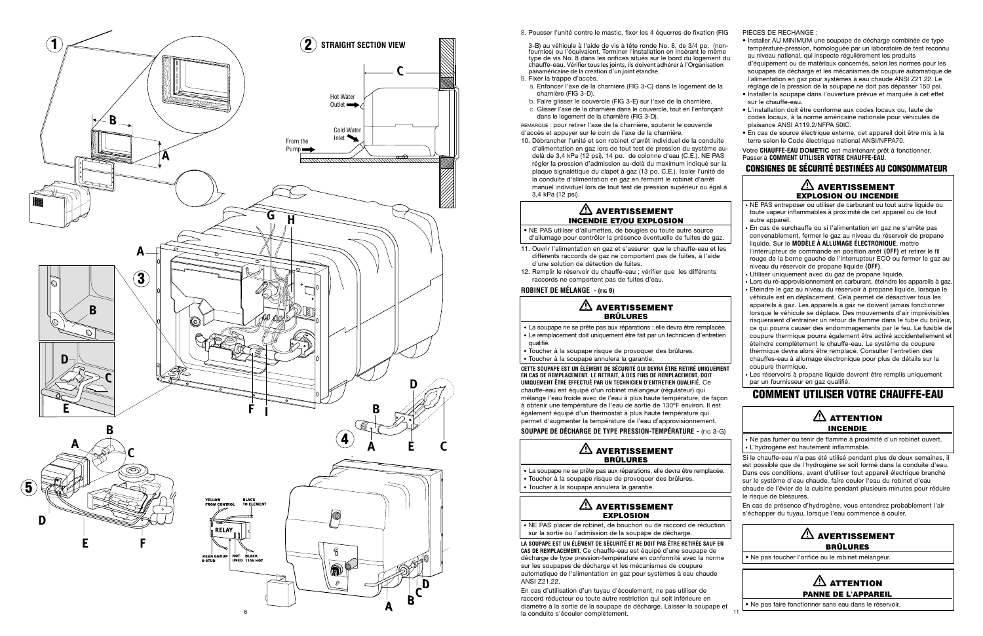3 -B) a u vé hicule à l'aide de vis à tête ronde No. 8, de 3/4 po. (non fournies) ou l'équivalent. Terminer l'installation en insérant le même type de vi s No. 8 dans les orifices si tués sur le bord d u logement du chauffe-eau. Vérifier tous les joints, ils doivent adhérer à l'Organisation panaméricaine de la création d'un joint étanche.

REMARQUE : pour retirer l'axe de la charnière, soutenir le couvercle d'accès et appuyer sur le coin de l'axe de la cha rnière.

9. Fixer la trappe d'accès .

a. Enfoncer l'axe de la charnière (FIG 3-C) dans le logement de la charnière (FIG 3-D).

- b. Faire glisser le couvercle (FIG 3-E) sur l'a x e de la charnière.
- c. Glisser l'axe de la charnière dans le couvercle, tout en l'enfonçan t dans le logement de la charnière (FIG 3-D) .

- 11. Ouvrir l'alimentation en gaz et s'assurer que le chauffe-eau et les di fférents racco rds de gaz ne comportent pas de fuites, à l'aid e d' une solution de détection de fuites .
- 12. Remplir le réservoir du chauffe-eau ; vérifier que les différents raccords ne comportent pas de fuites d'eau .

10. Débrancher l'unité et son robinet d'arrêt individuel de la conduit e d'alimentation en gaz lors de tout test de pression du système au delà de 3,4 kPa (12 psi), 14 po. de colonne d'eau (C.E.). NE PAS régler la pression d'admission au-delà du maximum indiqué sur la plaque signalétique du clapet à gaz (13 po. C.E.). Isoler l'unité de la conduite d'alimentation en gaz en fermant le robinet d'arrê t manuel individuel lors de tout test de pression supérieur ou égal à 3,4 kPa (12 psi) .

## AVERTISSEMEN T INCENDIE ET/OU EXPLOSION

• NE PAS utiliser d'allumettes, de bougies ou toute autre source d'allumage pour contrôler la présence éventuelle de fuites de gaz .

#### **ROBINET DE MÉLANGE - (FI G 9)**

#### AVERTISSEMEN T BRÛLURES

- La soupape ne se prête pas aux réparations ; elle devra être remplacée . • Le remplacement doit uniquement être fait par un technicien d'entretien
- qualifié .
- Toucher à la soupape risque de provoquer des brûlures.
- Toucher à la so upape an nulera la garantie .

**CETTE SOU PAPE EST UN ÉLÉMENT DE SÉCURITÉ QUI DEVRA ÊTRE RETIRÉ UNIQUEMEN T EN CAS DE REMPLACEMENT. LE RETRAIT, À DES FINS DE REMPLACEMENT, DOI T UNIQUEMENT ÊTRE EFFECTUÉ PAR UN TECHNICIEN D'ENTRETIEN QUALIFIÉ.** Ce chau ffe-eau est équipé d'un robinet mélangeur (régulateur) qu i mélange l'eau froide avec de l'eau à plus haute température, de façon à obtenir une température de l'eau de sortie de 130°F environ. Il est également équipé d'un thermostat à plus haute température qu i permet d'augmenter la température de l'eau d'app rovisionnement . **SOU PAPE DE DÉCHARGE DE TYPE PRESSION-TEMPÉR ATUR E -**  (FI G 3-G )

> AVERTISSEMEN T BRÛLURES

- La soupape ne se prête pas aux réparations, elle devra être remplacée .
- Toucher à la soupape risque de provoquer des brûlures.
- Toucher à la so upape an nulera la garantie .

#### AVERTISSEMEN T EXPLOSION

• NE PAS placer de robinet, de bouchon ou de raccord de réductio n sur la sortie ou l'admission de la soupape de décha rge .

## $\mathbb{A}$  attention INCENDIE

**LA SOU PAPE EST UN ÉLÉMENT DE SÉCURITÉ ET NE DOIT PAS ÊTRE RETIRÉE SAUF EN CAS DE REMPLACEMENT.** Ce chauffe-eau est équipé d'une soupape de décha rge de type pression-te mpérature en confor mité avec la norme sur les so upapes de décha rge et les mécanismes de co upure automatique de l'alimentation en gaz pour sy stèmes à eau chaud e ANSI Z21.22 .

En cas de présence d'hydrogène, vous entendrez probablement l'air s'échapper du tuyau, lorsque l'eau commence à couler.

## $\mathbb{A}$  Attention PANNE DE L'APPAREIL



<sup>8.</sup> Pousser l'unité contre le mastic, fixer les 4 équerres de fixation (FIG

En cas d'utilisation d'un tuyau d'écoulement, ne pas utiliser de raccord réd ucteur ou to ute autre restriction qui soit inférieure en diamètre à la sortie de la so upape de décha rge. Lais ser la so upape et

- 
- 
- 
- 
- 
- 
- 
- 
- 
- 
- 

PI ÈCES DE RECH ANGE :

- Installer AU MINIMUM une soupape de décharge combinée de type température-pression, homologuée par un laboratoire de test reconnu au niveau national, qui inspecte régulièrement les produits d'équipement ou de matériaux concernés, selon les normes pour les soupapes de décharge et les mécanismes de coupure automatique de l'alimentation en gaz pour systèmes à eau chaude ANSI Z21.22. Le réglage de la pression de la soupape ne doit pas dépasser 150 psi.
- In staller la soupape dans l'ouverture prévue et ma rquée à cet effe t sur le chauffe-eau.
- L'installation doit être conforme aux codes locaux ou, faute de codes loca ux, à la norme américaine natio nale pour véhicules de plaisance ANSI A119 .2/NFPA 50IC .
- En cas de source électrique exte rne, cet appa reil doit être mis à la terre selon le Code électrique national ANSI/NF PA70 .

Votre **CHAUFFE-EAU DOMETIC** est maintenant prêt à fonctionner. Passer à **COMMENT UTILISER VOTRE CHAUFFE-EA U** .

## CONSIGNES DE SECURITE DESTINEES AU CONSOMMATEUR

## AVERTISSEMEN T EXPLOSION OU INCENDIE

- NE PAS entreposer ou utiliser de carburant ou tout autre liquide ou toute vapeur inflammables à proximité de cet appareil ou de tout autre appareil.
- En cas de surchau ffe ou si l'alimentation en gaz ne s'ar rête pa s convenablement, fermer le gaz au niveau du réservoir de propane liquide. Sur le **MODÈLE À ALLUMAGE ÉLECTRONIQU E**, mettre l'interrupteur de commande en position arrêt (OFF) et retirer le fil rouge de la borne gauche de l'interrupteur ECO ou fermer le gaz au ni veau du rése rvoir de propane liquide **(OFF )** .
- Utiliser uniquement avec du gaz de propane liquide .
- Lors du ré-approvisionnement en carburant, éteindre les appareils à gaz.
- Éteindre le gaz au ni veau du réservoir à propane liquide, lo rsque le vé hicule est en déplace ment. Cela per met de désactiver tous le s appareils à gaz. Les appareils à gaz ne doivent jamais fonctionner lorsque le véhicule se déplace. Des mouvements d'air imprévisibles ri sque raient d'entraîner un retour de flamme dans le tube du brûleur, ce qui po urra cau ser des endo mmagements par le feu. Le fusible de co upure thermique pourra également être activé accidentellement et éteindre complètement le chau ffe-eau. Le système de coupure thermique devra alors être remplacé. Consulter l'entretien des chau ffe s-eau à allu mage élect ronique pour plus de détails sur la co upure the rmique .
- · Les réservoirs à propane liquide devront être remplis uniquement par un fournisseur en gaz qualifié .

## COMMENT UTILISER VOTRE CHAUFFE-EAU

• Ne pas fu mer ou tenir de flamme à proxi mité d'un robi net ouvert . • L'hyd rogène est hautement infla mmable .

Si le chau ffe-eau n'a pas été utilisé pendant plus de deux semaines, il est possible que de l'hydrogène se soit formé dans la conduite d'eau. Dans ces conditions, avant d'utiliser tout appareil électrique branché sur le système d'eau chaude, faire couler l'eau du robinet d'ea u chaude de l'évier de la cui sine pendant plu sieurs minutes pour réduire le risque de blessu res .

## AVERTISSEMEN T BRÛLURES

• Ne pas toucher l'orifice ou le robinet mélangeur.

• Ne pas faire fonctionner sans eau dans le réservoir.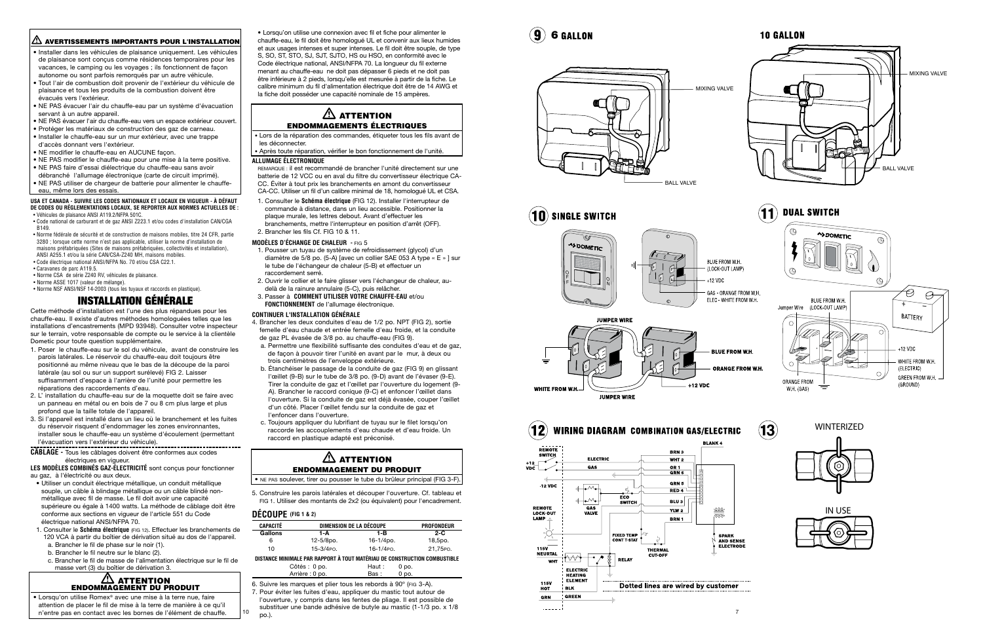10



## **10 GALLON**

 $\mathbf{3}$ 

#### AVERTISSEMENTS IMPORTANTS POUR L'INSTALLATION

- · Installer dans les véhicules de plaisance uniquement. Les véhicules de plaisance sont conçus comme résidences temporaires pour les vacances, le camping ou les voyages ; ils fo nctionnent de faço n autonome ou sont parfois remorqués par un autre véhicule.
- Tout l'air de combustion doit provenir de l'exté rieur du véhic ule de plaisa nce et tous les produits de la combustion doivent être évacués vers l'exté rieur.
- NE PAS évacuer l'air du chauffe-eau par un système d'évacuatio n servant à un autre appareil.
- NE PAS évacuer l'air du chau ffe-eau vers un espace extérieur couvert .
- Protéger les maté riaux de construction des gaz de ca rneau.
- In staller le chau ffe-eau sur un mur extérieur, avec une trapp e d'accès donnant vers l'exté rieur.
- NE modifier le chauffe-eau en AUCUNE façon .
- NE PAS modifier le chauffe-eau pour une mise à la terre positive . • NE PAS faire d'essai diélect rique du chauffe-eau sans avoi r
- débranché l'allumage électronique (carte de circuit imprimé). • NE PAS utiliser de chargeur de batterie pour alimenter le chauffe-
- eau, même lors des essais.

#### **USA ET CANADA - SUIVRE LES CODES NATIONAUX ET LOCAUX EN VIGUEUR - À DÉ FAU T DE CODES OU RÉGLEMENTATIONS LOCAUX, SE REPO RTER AUX NORMES ACTUELLES DE :**

- 1. Poser le chauffe-eau sur le sol du véhicule, avant de construire les pa rois laté rales. Le réservoir du chauffe-eau doit to ujours être positio nné au même niveau que le bas de la déco upe de la paroi latérale (au sol ou sur un support suréle vé) FIG 2. Laisser suffi samment d'espace à l'arrière de l'unité pour permettre le s réparations des racco rdements d'eau.
- 2. L' installation du chauffe-eau sur de la moq uette doit se faire ave c un panneau en métal ou en bois de 7 ou 8 cm plus la rge et plu s profond que la taille totale de l'appa reil .
- 3. Si l'appa reil est installé dans un lieu où le branchement et les fuite s du ré ser voir risquent d'endommager les zones environnantes, installer sous le chauffe-eau un système d'éco ulement (permettan t l'évacuation vers l'extérieur du véhicule).
- **CÂBLAGE** Tous les câblages doivent être conformes aux codes électriques en vigueur.
- Véhicules de plaisance ANSI A119.2/NFPA 501C . • Code national de carburant et de gaz ANSI Z223.1 et/ou codes d'installation CAN/CG A B149 .
- Norme fédérale de sécurité et de construction de maisons mobiles, titre 24 CFR, parti e 3280 ; lorsque cette norme n'est pas applicable, utiliser la norme d'installation de maisons préfabriquées (Sites de maisons préfabriquées, collectivités et installation) , ANSI A255.1 et/ou la série CAN/CSA-Z240 MH, maisons mobiles .
- Code électrique national ANSI/NFPA No. 70 et/ou CSA C22.1 .
- Caravanes de parc A119.5 .
- Norme CSA de série Z240 RV, véhicules de plaisance.
- Norme ASSE 1017 (valeur de mélange).
- Norme NSF ANSI/NSF 14-2003 (tous les tuyaux et raccords en plastique).

## **INSTALLATION GÉNÉRALE**

#### $\mathbin{\textcircled{\textsc{h}}}$  attention ENDOMMAGEMENT DU PRODUIT

• Lorsqu'on utilise Romex<sup>®</sup> avec une mise à la terre nue, faire atte ntion de placer le fil de mise à la terre de manière à ce qu'i l n'entre pas en contact avec les bornes de l'élément de chauffe.

Cette mét hode d'installation est l'une des plus répandues pour le s chauffe-eau. Il existe d'autres méthodes homologuées telles que les installations d'encastrements (MPD 93948). Consulter votre inspecteur sur le terrain, votre responsable de compte ou le ser vice à la client èle Dometic pour tout e question su p plément aire.

## $\Delta$  attention ENDOMMAGEMENTS ÉLECTRIQUES

**LES MODÈLES COMBINÉS GAZ-ÉLECTRICITÉ** sont conçus pour fonctionner au gaz, à l'électricité ou aux deux.

## $\triangle$  attention ENDOMMAGEMENT DU PRODUIT

- Utiliser un conduit électrique métallique, un conduit métallique souple, un câble à blindage métallique ou un câble blindé nonmétallique avec fil de masse. Le fil doit avoir une capacité supérieure ou égale à 1400 watts. La méthode de câblage doit être conforme aux sections en vigueur de l'article 551 du Code électrique national ANSI/NFPA 70.
- 1. Consulter le **Schéma électrique** (FIG 12). Effectuer les branchements de 120 VCA à partir du boîtier de dérivation situé au dos de l'appareil.
- a. Brancher le fil de phase sur le noir (1).
- b. Brancher le fil neutre sur le blanc (2).
- c. Brancher le fil de masse de l'alimentation électrique sur le fil de masse vert (3) du boîtier de dérivation 3.

• Lorsqu'on utilise une connexion avec fil et fiche pour alimenter le chau ffe-eau, le fil doit être homologué UL et convenir aux lieux humide s et aux usages intenses et super intenses. Le fil doit être souple, de typ e S, SO, ST, STO, SJ, SJT, SJTO, HS ou HSO, en conformité avec le Code électrique national, ANSI/NFPA 70. La longueur du fil externe menant au chau ffe-eau ne doit pas dépasser 6 pieds et ne doit pa s être inférieure à 2 pieds, lorsqu'elle est mesurée à partir de la fiche. Le calibre minimum du fil d'alimentation électrique doit être de 14 AWG et la fiche doit posséder une capacité nominale de 15 ampè res .

• Lors de la réparation des commandes, étiqueter tous les fils avant de les déconnecter.

• Après toute réparation, vérifier le bon fonctionnement de l'unité.

#### **ALLUMAGE ÉLECTRONIQUE**

REMARQUE : il est recommandé de brancher l'unité directement sur une batterie de 12 VCC ou en aval du filtre du convertisseur électrique CA-CC. Éviter à tout prix les branchements en amont du convertisseur CA-CC. Utiliser un fil d'un calibre minimal de 18, homologué UL et CSA .

- 1. Consulter le **Schéma électrique** (FIG 12). Installer l'interrupteur de commande à distance, dans un lieu accessible. Positionner la plaque murale, les lettres debout. Avant d'effectuer les branchements, mettre l'interrupteur en position d'arrêt (OFF).
- 2. Brancher les fils Cf. FIG 10 & 11.

#### **MODÈLES D'ÉCHANGE DE CHALEUR -** FIG 5

- 1. Pousser un tuyau de système de refroidissement (glycol) d'un diamètre de 5/8 po. (5-A) [avec un collier SAE 053 A type « E » ] sur le tube de l'échangeur de chaleur (5-B) et effectuer un raccordement serré.
- 2. Ouvrir le collier et le faire glisser vers l'échangeur de chaleur, audelà de la rainure annulaire (5-C), puis relâcher.
- 3. Passer à **COMMENT UTILISER VOTRE CHAUFFE-EAU** et/ou **FONCTIONNEMENT** de l'allumage électronique.

#### **CONTINUER L'INS TALL ATION GÉNÉRAL E**

- 4. Brancher les deux conduites d'eau de 1/2 po. NPT (FIG 2), sorti e femelle d'eau chaude et entrée femelle d'eau froide, et la conduite de gaz PL évasée de 3/8 po. au chauffe-eau (FIG 9).
- a. Permettre une flexibilité suffisante des conduites d'eau et de gaz, de façon à pou voir tirer l'unité en avant par le mur, à deux ou trois centimèt res de l'en veloppe extérieure.
- b. Étanchéiser le passage de la conduite de gaz (FIG 9) en glissant l'œillet (9-B) sur le tube de 3/8 po. (9-D) avant de l'évaser (9-E). Ti rer la conduite de gaz et l'œillet par l'ouve rture du logement (9 - A). Branc her le raccord co nique (9-C) et enfo ncer l'œillet dan s l'ouverture. Si la conduite de gaz est déjà évasée, couper l'œillet d'un côté. Placer l'œillet fendu sur la cond uite de gaz et l'enfoncer dans l'ouverture.
- c. Toujo urs appliquer du lubrifiant de tu yau sur le filet lorsqu'o n racco rde les accouplements d'eau cha ude et d'eau froide. Un raccord en pla stique adapté est préco nisé .

• NE PAS soulever, tirer ou pousser le tube du brûleur principal (FIG 3-F).

5. Construire les parois latérales et découper l'ouverture. Cf. tableau et FIG 1. Utiliser des montants de 2x2 (ou équivalent) pour l'encadrement.

#### **DÉCOUPE (FIG 1 & 2)**

| CAPACITÉ | DIMENSION DE LA DÉCOUPE | <b>PROFONDEUR</b> |          |
|----------|-------------------------|-------------------|----------|
| Gallons  | 1-A                     | 1-B               | $2 - C$  |
| 6        | 12-5/8po.               | 16-1/4po.         | 18,5po.  |
| 10       | $15-3/4PQ$ .            | $16-1/4PQ$ .      | 21.75PO. |
|          |                         |                   |          |

#### **DIS TANCE MINIMALE PAR RAPPORT À TOUT MATÉRIAU DE CONSTRUCTION COMBUSTIBL E**

| Côtés : 0 po.   | Haut: | 0 po.   |  |
|-----------------|-------|---------|--|
| Arrière : 0 po. | Bas:  | $0$ po. |  |

6. Suivre les marques et plier tous les rebo rds à 90º (FI G 3-A). 7. Pour éviter les fuites d'eau, appliq uer du ma stic tout autour de l'ouverture, y co mpris dans les fe ntes de pliage. Il est pos sible de substituer une ba nde adhésive de butyle au mastic (1-1/3 po. x 1/8 po.) .

## **6 GALLON**

WINTERIZED











#### $\bf(12)$ **WIRING DIAGRAM COMBINATION GAS/ELECTRIC**